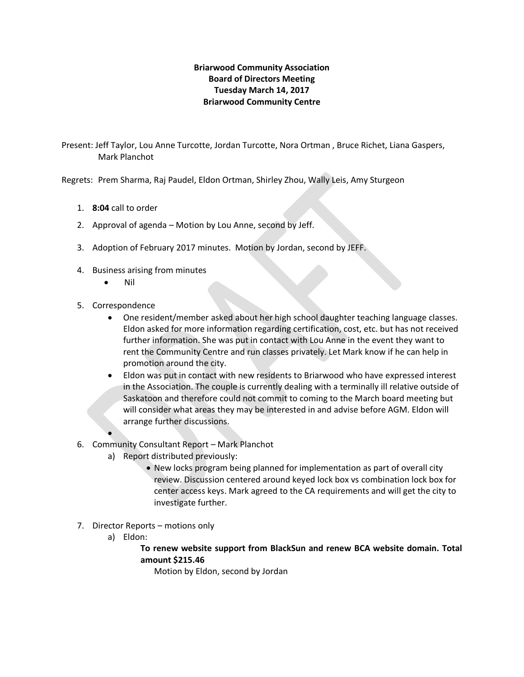## **Briarwood Community Association Board of Directors Meeting Tuesday March 14, 2017 Briarwood Community Centre**

Present: Jeff Taylor, Lou Anne Turcotte, Jordan Turcotte, Nora Ortman , Bruce Richet, Liana Gaspers, Mark Planchot

Regrets: Prem Sharma, Raj Paudel, Eldon Ortman, Shirley Zhou, Wally Leis, Amy Sturgeon

- 1. **8:04** call to order
- 2. Approval of agenda Motion by Lou Anne, second by Jeff.
- 3. Adoption of February 2017 minutes. Motion by Jordan, second by JEFF.
- 4. Business arising from minutes
	- Nil
- 5. Correspondence

 $\bullet$ 

- One resident/member asked about her high school daughter teaching language classes. Eldon asked for more information regarding certification, cost, etc. but has not received further information. She was put in contact with Lou Anne in the event they want to rent the Community Centre and run classes privately. Let Mark know if he can help in promotion around the city.
- Eldon was put in contact with new residents to Briarwood who have expressed interest in the Association. The couple is currently dealing with a terminally ill relative outside of Saskatoon and therefore could not commit to coming to the March board meeting but will consider what areas they may be interested in and advise before AGM. Eldon will arrange further discussions.
- 6. Community Consultant Report Mark Planchot
	- a) Report distributed previously:
		- New locks program being planned for implementation as part of overall city review. Discussion centered around keyed lock box vs combination lock box for center access keys. Mark agreed to the CA requirements and will get the city to investigate further.
- 7. Director Reports motions only
	- a) Eldon:

**To renew website support from BlackSun and renew BCA website domain. Total amount \$215.46**

Motion by Eldon, second by Jordan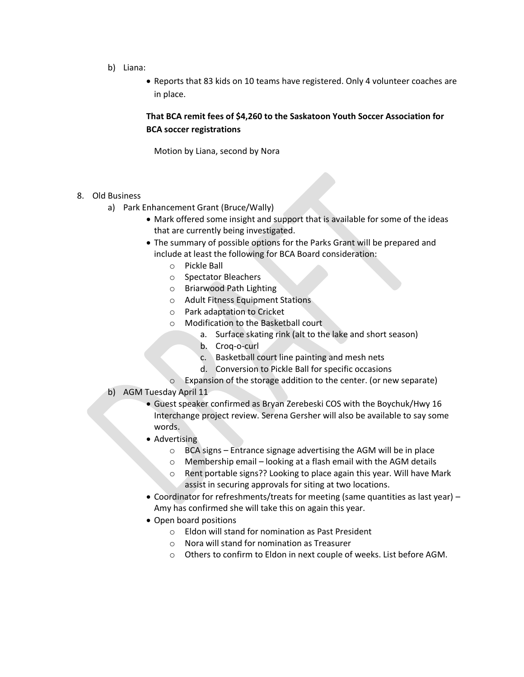- b) Liana:
	- Reports that 83 kids on 10 teams have registered. Only 4 volunteer coaches are in place.

## **That BCA remit fees of \$4,260 to the Saskatoon Youth Soccer Association for BCA soccer registrations**

Motion by Liana, second by Nora

- 8. Old Business
	- a) Park Enhancement Grant (Bruce/Wally)
		- Mark offered some insight and support that is available for some of the ideas that are currently being investigated.
		- The summary of possible options for the Parks Grant will be prepared and include at least the following for BCA Board consideration:
			- o Pickle Ball
			- o Spectator Bleachers
			- o Briarwood Path Lighting
			- o Adult Fitness Equipment Stations
			- o Park adaptation to Cricket
			- o Modification to the Basketball court
				- a. Surface skating rink (alt to the lake and short season)
				- b. Croq-o-curl
				- c. Basketball court line painting and mesh nets
				- d. Conversion to Pickle Ball for specific occasions
			- o Expansion of the storage addition to the center. (or new separate)

## b) AGM Tuesday April 11

- Guest speaker confirmed as Bryan Zerebeski COS with the Boychuk/Hwy 16 Interchange project review. Serena Gersher will also be available to say some words.
- Advertising
	- o BCA signs Entrance signage advertising the AGM will be in place
	- o Membership email looking at a flash email with the AGM details
	- o Rent portable signs?? Looking to place again this year. Will have Mark assist in securing approvals for siting at two locations.
- Coordinator for refreshments/treats for meeting (same quantities as last year) Amy has confirmed she will take this on again this year.
- Open board positions
	- o Eldon will stand for nomination as Past President
	- o Nora will stand for nomination as Treasurer
	- o Others to confirm to Eldon in next couple of weeks. List before AGM.